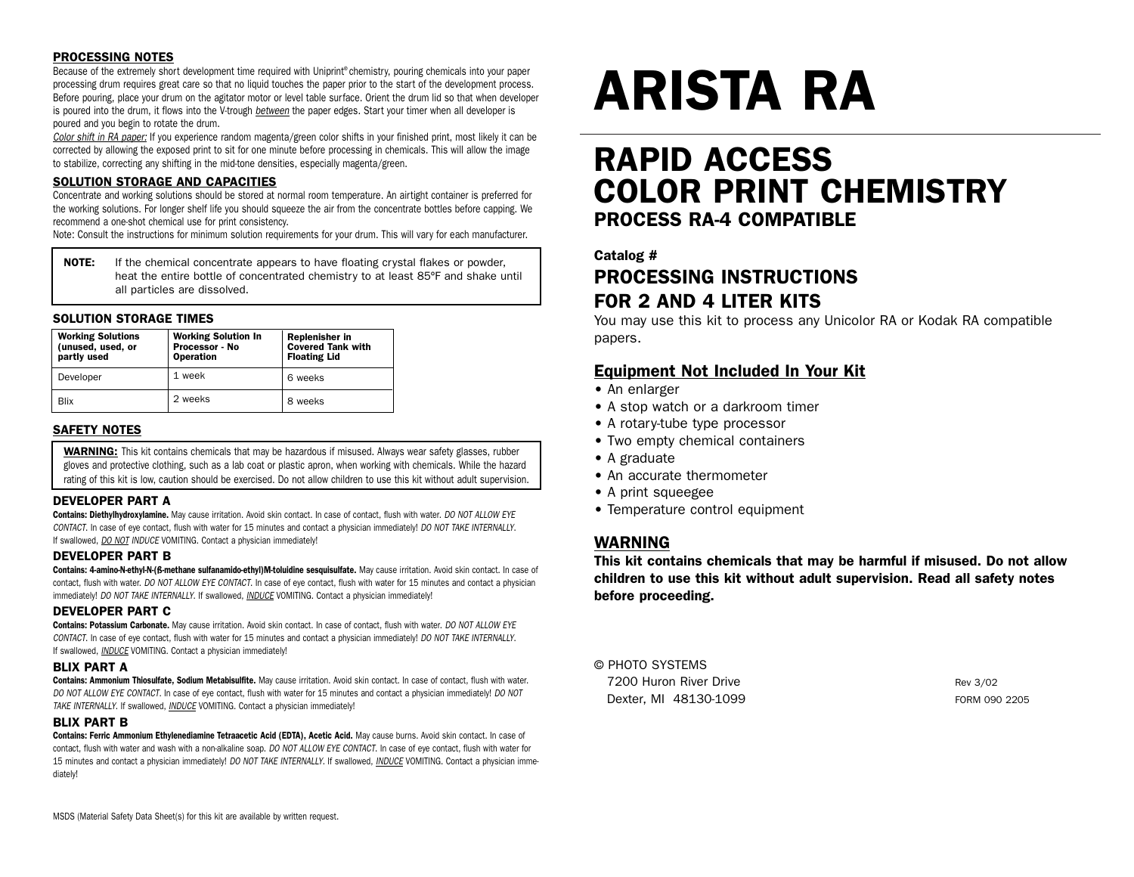# PROCESSING NOTES

Because of the extremely short development time required with Uniprint® chemistry, pouring chemicals into your paper processing drum requires great care so that no liquid touches the paper prior to the start of the development process. Before pouring, place your drum on the agitator motor or level table surface. Orient the drum lid so that when developer is poured into the drum, it flows into the V-trough *between* the paper edges. Start your timer when all developer is poured and you begin to rotate the drum.

*Color shift in RA paper:* If you experience random magenta/green color shifts in your finished print, most likely it can be corrected by allowing the exposed print to sit for one minute before processing in chemicals. This will allow the image to stabilize, correcting any shifting in the mid-tone densities, especially magenta/green.

# SOLUTION STORAGE AND CAPACITIES

Concentrate and working solutions should be stored at normal room temperature. An airtight container is preferred for the working solutions. For longer shelf life you should squeeze the air from the concentrate bottles before capping. We recommend a one-shot chemical use for print consistency.

Note: Consult the instructions for minimum solution requirements for your drum. This will vary for each manufacturer.

**NOTE:** If the chemical concentrate appears to have floating crystal flakes or powder, heat the entire bottle of concentrated chemistry to at least 85ºF and shake until all particles are dissolved.

# SOLUTION STORAGE TIMES

| <b>Working Solutions</b><br>(unused, used, or<br>partly used | <b>Working Solution In</b><br>Processor - No<br><b>Operation</b> | Replenisher in<br><b>Covered Tank with</b><br><b>Floating Lid</b> |
|--------------------------------------------------------------|------------------------------------------------------------------|-------------------------------------------------------------------|
| Developer                                                    | 1 week                                                           | 6 weeks                                                           |
| Blix                                                         | 2 weeks                                                          | 8 weeks                                                           |

# SAFETY NOTES

WARNING: This kit contains chemicals that may be hazardous if misused. Always wear safety glasses, rubber gloves and protective clothing, such as a lab coat or plastic apron, when working with chemicals. While the hazard rating of this kit is low, caution should be exercised. Do not allow children to use this kit without adult supervision.

# DEVELOPER PART A

Contains: Diethylhydroxylamine. May cause irritation. Avoid skin contact. In case of contact, flush with water. *DO NOT ALLOW EYE CONTACT*. In case of eye contact, flush with water for 15 minutes and contact a physician immediately! *DO NOT TAKE INTERNALLY*. If swallowed, *DO NOT INDUCE* VOMITING. Contact a physician immediately!

# DEVELOPER PART B

Contains: 4-amino-N-ethyl-N-(ß-methane sulfanamido-ethyl)M-toluidine sesquisulfate. May cause irritation. Avoid skin contact. In case of contact, flush with water. *DO NOT ALLOW EYE CONTACT*. In case of eye contact, flush with water for 15 minutes and contact a physician immediately! *DO NOT TAKE INTERNALLY*. If swallowed, *INDUCE* VOMITING. Contact a physician immediately!

# DEVELOPER PART C

Contains: Potassium Carbonate. May cause irritation. Avoid skin contact. In case of contact, flush with water. *DO NOT ALLOW EYE CONTACT*. In case of eye contact, flush with water for 15 minutes and contact a physician immediately! *DO NOT TAKE INTERNALLY*. If swallowed, *INDUCE* VOMITING. Contact a physician immediately!

# BLIX PART A

Contains: Ammonium Thiosulfate, Sodium Metabisulfite. May cause irritation. Avoid skin contact. In case of contact, flush with water. *DO NOT ALLOW EYE CONTACT*. In case of eye contact, flush with water for 15 minutes and contact a physician immediately! *DO NOT TAKE INTERNALLY*. If swallowed, *INDUCE* VOMITING. Contact a physician immediately!

# BLIX PART B

Contains: Ferric Ammonium Ethylenediamine Tetraacetic Acid (EDTA), Acetic Acid. May cause burns. Avoid skin contact. In case of contact, flush with water and wash with a non-alkaline soap. *DO NOT ALLOW EYE CONTACT*. In case of eye contact, flush with water for 15 minutes and contact a physician immediately! *DO NOT TAKE INTERNALLY*. If swallowed, *INDUCE* VOMITING. Contact a physician immediately!

# ARISTA RA

# RAPID ACCESS COLOR PRINT CHEMISTRY PROCESS RA-4 COMPATIBLE

# Catalog #

# PROCESSING INSTRUCTIONS FOR 2 AND 4 LITER KITS

You may use this kit to process any Unicolor RA or Kodak RA compatible papers.

# Equipment Not Included In Your Kit

- An enlarger
- A stop watch or a darkroom timer
- A rotary-tube type processor
- Two empty chemical containers
- A graduate
- An accurate thermometer
- A print squeegee
- Temperature control equipment

# WARNING

This kit contains chemicals that may be harmful if misused. Do not allow children to use this kit without adult supervision. Read all safety notes before proceeding.

# © PHOTO SYSTEMS

| 7200 Huron River Drive | Rev 3/02      |
|------------------------|---------------|
| Dexter, MI 48130-1099  | FORM 090 2205 |